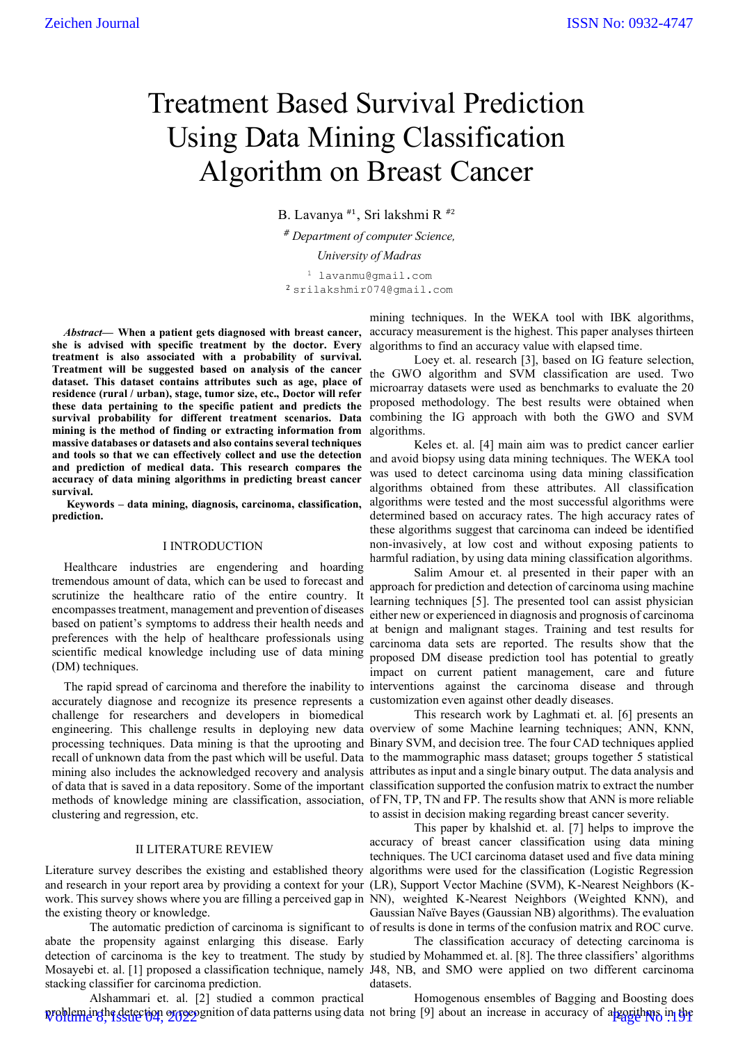# Treatment Based Survival Prediction Using Data Mining Classification Algorithm on Breast Cancer

B. Lavanya #1, Sri lakshmi R #<sup>2</sup> # *Department of computer Science, University of Madras*

<sup>1</sup> lavanmu@gmail.com <sup>2</sup> srilakshmir074@gmail.com

*Abstract*— **When a patient gets diagnosed with breast cancer, she is advised with specific treatment by the doctor. Every treatment is also associated with a probability of survival. Treatment will be suggested based on analysis of the cancer dataset. This dataset contains attributes such as age, place of residence (rural / urban), stage, tumor size, etc., Doctor will refer these data pertaining to the specific patient and predicts the survival probability for different treatment scenarios. Data mining is the method of finding or extracting information from massive databases or datasets and also contains several techniques and tools so that we can effectively collect and use the detection and prediction of medical data. This research compares the accuracy of data mining algorithms in predicting breast cancer survival.**

**Keywords** – **data mining, diagnosis, carcinoma, classification, prediction.**

#### I INTRODUCTION

Healthcare industries are engendering and hoarding tremendous amount of data, which can be used to forecast and scrutinize the healthcare ratio of the entire country. It encompasses treatment, management and prevention of diseases based on patient's symptoms to address their health needs and preferences with the help of healthcare professionals using scientific medical knowledge including use of data mining (DM) techniques.

accurately diagnose and recognize its presence represents a customization even against other deadly diseases. challenge for researchers and developers in biomedical clustering and regression, etc.

# II LITERATURE REVIEW

the existing theory or knowledge.

abate the propensity against enlarging this disease. Early stacking classifier for carcinoma prediction.

Alshammari et. al. [2] studied a common practical problem in the detection or recognition of data patterns using data not bring [9] about an increase in accuracy of algorithms in the

mining techniques. In the WEKA tool with IBK algorithms, accuracy measurement is the highest. This paper analyses thirteen algorithms to find an accuracy value with elapsed time.

Loey et. al. research [3], based on IG feature selection, the GWO algorithm and SVM classification are used. Two microarray datasets were used as benchmarks to evaluate the 20 proposed methodology. The best results were obtained when combining the IG approach with both the GWO and SVM algorithms.

Keles et. al. [4] main aim was to predict cancer earlier and avoid biopsy using data mining techniques. The WEKA tool was used to detect carcinoma using data mining classification algorithms obtained from these attributes. All classification algorithms were tested and the most successful algorithms were determined based on accuracy rates. The high accuracy rates of these algorithms suggest that carcinoma can indeed be identified non-invasively, at low cost and without exposing patients to harmful radiation, by using data mining classification algorithms.

The rapid spread of carcinoma and therefore the inability to interventions against the carcinoma disease and through Salim Amour et. al presented in their paper with an approach for prediction and detection of carcinoma using machine learning techniques [5]. The presented tool can assist physician either new or experienced in diagnosis and prognosis of carcinoma at benign and malignant stages. Training and test results for carcinoma data sets are reported. The results show that the proposed DM disease prediction tool has potential to greatly impact on current patient management, care and future

engineering. This challenge results in deploying new data overview of some Machine learning techniques; ANN, KNN, processing techniques. Data mining is that the uprooting and Binary SVM, and decision tree. The four CAD techniques applied recall of unknown data from the past which will be useful. Data to the mammographic mass dataset; groups together 5 statistical mining also includes the acknowledged recovery and analysis attributes as input and a single binary output. The data analysis and of data that is saved in a data repository. Some of the important classification supported the confusion matrix to extract the number methods of knowledge mining are classification, association, of FN, TP, TN and FP. The results show that ANN is more reliable This research work by Laghmati et. al. [6] presents an to assist in decision making regarding breast cancer severity.

Literature survey describes the existing and established theory algorithms were used for the classification (Logistic Regression and research in your report area by providing a context for your (LR), Support Vector Machine (SVM), K-Nearest Neighbors (Kwork. This survey shows where you are filling a perceived gap in NN), weighted K-Nearest Neighbors (Weighted KNN), and The automatic prediction of carcinoma is significant to of results is done in terms of the confusion matrix and ROC curve. This paper by khalshid et. al. [7] helps to improve the accuracy of breast cancer classification using data mining techniques. The UCI carcinoma dataset used and five data mining Gaussian Naïve Bayes (Gaussian NB) algorithms). The evaluation

detection of carcinoma is the key to treatment. The study by studied by Mohammed et. al. [8]. The three classifiers' algorithms Mosayebi et. al. [1] proposed a classification technique, namely J48, NB, and SMO were applied on two different carcinoma The classification accuracy of detecting carcinoma is datasets.

Homogenous ensembles of Bagging and Boosting does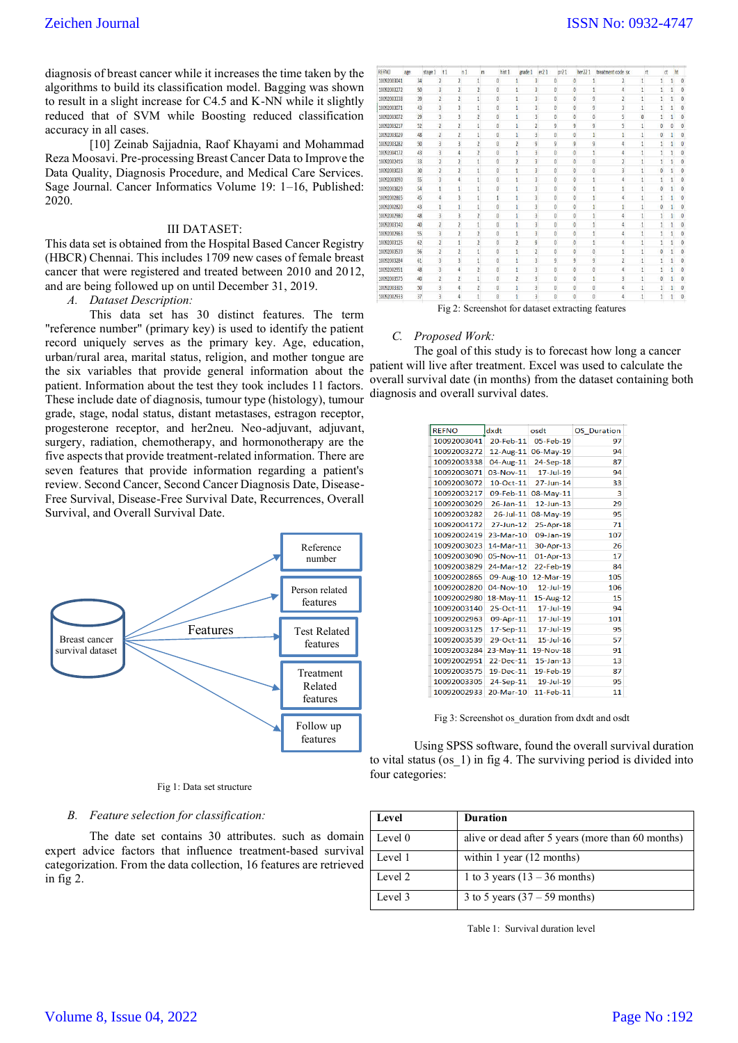diagnosis of breast cancer while it increases the time taken by the algorithms to build its classification model. Bagging was shown to result in a slight increase for C4.5 and K-NN while it slightly reduced that of SVM while Boosting reduced classification accuracy in all cases.

[10] Zeinab Sajjadnia, Raof Khayami and Mohammad Reza Moosavi. Pre-processing Breast Cancer Data to Improve the Data Quality, Diagnosis Procedure, and Medical Care Services. Sage Journal. Cancer Informatics Volume 19: 1–16, Published: 2020.

#### III DATASET:

This data set is obtained from the Hospital Based Cancer Registry (HBCR) Chennai. This includes 1709 new cases of female breast cancer that were registered and treated between 2010 and 2012, and are being followed up on until December 31, 2019.

*A. Dataset Description:*

This data set has 30 distinct features. The term "reference number" (primary key) is used to identify the patient record uniquely serves as the primary key. Age, education, urban/rural area, marital status, religion, and mother tongue are the six variables that provide general information about the patient. Information about the test they took includes 11 factors. These include date of diagnosis, tumour type (histology), tumour grade, stage, nodal status, distant metastases, estragon receptor, progesterone receptor, and her2neu. Neo-adjuvant, adjuvant, surgery, radiation, chemotherapy, and hormonotherapy are the five aspects that provide treatment-related information. There are seven features that provide information regarding a patient's review. Second Cancer, Second Cancer Diagnosis Date, Disease-Free Survival, Disease-Free Survival Date, Recurrences, Overall Survival, and Overall Survival Date.



#### Fig 1: Data set structure

### *B. Feature selection for classification:*

The date set contains 30 attributes. such as domain expert advice factors that influence treatment-based survival categorization. From the data collection, 16 features are retrieved in fig 2.

| <b>REFNO</b> | age | stage 1 | t1                      | n1                       |                | m | hist 1         |                | grade 1 | er21                    |                      | pr <sub>21</sub> |                     | her221   | treatment code sx | rt             |          | ct | ht |          |
|--------------|-----|---------|-------------------------|--------------------------|----------------|---|----------------|----------------|---------|-------------------------|----------------------|------------------|---------------------|----------|-------------------|----------------|----------|----|----|----------|
| 10092003041  |     | 34      | 2                       | $\overline{2}$           |                |   | $\theta$       | 1              |         |                         | 0                    |                  | 0                   |          |                   | 1              |          |    |    | $\theta$ |
| 10092003272  |     | 50      | ä,                      | $\overline{z}$           |                |   | $\overline{0}$ |                |         |                         | $\alpha$             |                  | $\ddot{\mathbf{0}}$ | ï        | $\overline{A}$    | 1              |          |    |    | ö        |
| 10092003338  |     | 39      | 1                       | <sup>2</sup>             |                |   | Ö.             |                |         | 3                       | $\theta$             |                  | $\overline{0}$      | ğ        | $\overline{2}$    |                |          |    |    | Ō        |
| 10092003071  |     | 43      | 3                       | ą.                       |                |   | $\theta$       | ١              |         | 3                       | $\mathbf{0}$         |                  | $\ddot{\mathbf{0}}$ | g        | $\overline{3}$    | 1              |          |    |    | 6        |
| 10092003072  |     | 29      | ä                       | $\overline{\mathbf{3}}$  | $\overline{2}$ |   | $\overline{0}$ | ī              |         | 3                       | $\ddot{\phantom{a}}$ |                  | $\mathbf{0}$        | ò.       | 5                 | $\overline{0}$ |          |    |    | ō        |
| 10092003217  |     | 52      | $\overline{2}$          | $\overline{2}$           |                |   | $\alpha$       | ١              |         | $\overline{2}$          | g                    |                  | g                   | g        | 5                 | 1              | Ä        |    |    | ö        |
| 10092003029  |     | 48      | $\overline{2}$          | $\overline{2}$           |                |   | Ō              |                |         | $\overline{\mathbf{3}}$ | $\mathbf{0}$         |                  | $\bf{0}$            | t        |                   |                |          |    |    | $\theta$ |
| 10092003282  |     | 50      | ą                       | 3                        |                |   | $\theta$       |                |         | g                       | g.                   |                  | 9                   | ğ        |                   |                |          |    |    | $\theta$ |
| 10092004172  |     | 43      | 3                       | A                        |                |   | $\Omega$       |                |         | 3                       | $\ddot{\phantom{a}}$ |                  | 0                   |          |                   |                |          |    |    |          |
| 10092002419  |     | 33      |                         |                          |                |   | $\mathbf{0}$   |                |         |                         | ō                    |                  | $\mathbf{0}$        | Ü.       |                   |                |          |    |    | ť        |
| 10092003023  |     | 30      | $\overline{2}$          |                          |                |   | $\alpha$       |                |         |                         | Ö                    |                  | $\mathbf{0}$        | û        |                   |                |          |    |    |          |
| 10092003090  |     | 55      | $\mathbf{\hat{a}}$      |                          |                |   | $\theta$       |                |         |                         | $\ddot{\mathbf{a}}$  |                  | $\ddot{\mathbf{0}}$ |          |                   |                |          |    |    |          |
| 10092003829  |     | 54      |                         |                          |                |   | Λ              |                |         |                         | $\overline{0}$       |                  | $\mathbf{0}$        |          |                   |                |          |    |    |          |
| 10092002865  |     | 45      |                         |                          |                |   |                |                |         |                         | $\theta$             |                  | $\overline{0}$      |          |                   |                |          |    |    |          |
| 10092002820  |     | 43      |                         |                          |                |   | ō              |                |         |                         | 0                    |                  | $\mathbf{0}$        |          |                   |                |          |    |    |          |
| 10092002980  |     | 48      |                         |                          |                |   |                |                |         |                         | Ö                    |                  | 0                   |          |                   |                |          |    |    |          |
| 10092003140  |     | 40      |                         |                          |                |   | n.             |                |         |                         | ō                    |                  | $\ddot{\mathbf{0}}$ |          |                   |                |          |    |    |          |
| 10092002963  |     | 55      |                         |                          |                |   | $\theta$       |                |         |                         | 0                    |                  | Ö                   |          |                   |                |          |    |    |          |
| 10092003125  |     | 62      |                         |                          |                |   | $\alpha$       | $\overline{2}$ |         | 9                       | $\bf{0}$             |                  | $\mathbf{0}$        | 1        | 4                 |                |          |    |    |          |
| 10092003539  |     | 56      |                         |                          |                |   | $\theta$       |                |         |                         | $\ddot{\Omega}$      |                  | $\bf{0}$            | Ü.       |                   |                |          |    |    |          |
| 10092003284  |     | 61      | ä                       | $\overline{3}$           |                |   | $\theta$       |                |         | $\overline{3}$          | $\overline{9}$       |                  | $\overline{9}$      | 9        | $\overline{2}$    | 1              |          |    |    | d        |
| 10092002951  |     | 48      | ä                       | $\Delta$                 |                |   | $\overline{0}$ | ŧ              |         | 3                       | $\overline{a}$       |                  | $\bf{0}$            | $\theta$ | 4                 |                |          |    |    | Ć        |
| 10092003575  |     | 40      | $\overline{\mathbf{z}}$ | $\overline{\phantom{a}}$ |                |   | $\mathbf{0}$   | $\overline{2}$ |         | ä                       | $\mathbf{0}$         |                  | $\mathbf 0$         | 1        | 3                 | ١              | $\alpha$ |    |    | 0        |
| 10092003305  |     | 50      | 3                       | 4                        |                |   | n              | ١              |         | 3                       | $\mathbf{0}$         |                  | $\bf{0}$            | ö        | Δ                 |                |          |    |    | $\Omega$ |
| 10092002933  |     | 37      | 3                       | 4                        |                |   | $\theta$       | 1              |         | 3                       | $\mathbf{0}$         |                  | $\mathbf{0}$        | Ü.       |                   |                |          |    |    | $\theta$ |

Fig 2: Screenshot for dataset extracting features

#### *C. Proposed Work:*

The goal of this study is to forecast how long a cancer patient will live after treatment. Excel was used to calculate the overall survival date (in months) from the dataset containing both diagnosis and overall survival dates.

| <b>REFNO</b> | dxdt            | osdt            | <b>OS</b> Duration |
|--------------|-----------------|-----------------|--------------------|
| 10092003041  | 20-Feb-11       | 05-Feb-19       | 97                 |
| 10092003272  | $12$ -Aug-11    | 06-May-19       | 94                 |
| 10092003338  | 04-Aug-11       | 24-Sep-18       | 87                 |
| 10092003071  | $03-Nov-11$     | $17 -$ Jul-19   | 94                 |
| 10092003072  | $10$ -Oct-11    | 27-Jun-14       | 33                 |
| 10092003217  | 09-Feb-11       | 08-May-11       | 3                  |
| 10092003029  | $26$ -Jan-11    | $12 - \lim -13$ | 29                 |
| 10092003282  | $26 -$ Jul-11   | 08-May-19       | 95                 |
| 10092004172  | 27-Jun-12       | 25-Apr-18       | 71                 |
| 10092002419  | $23-Mar-10$     | 09-Jan-19       | 107                |
| 10092003023  | 14-Mar-11       | 30-Apr-13       | 26                 |
| 10092003090  | $05-Nov-11$     | 01-Apr-13       | 17                 |
| 10092003829  | 24-Mar-12       | 22-Feb-19       | 84                 |
| 10092002865  | 09-Aug-10       | 12-Mar-19       | 105                |
| 10092002820  | 04-Nov-10       | $12$ -Jul-19    | 106                |
| 10092002980  | $18$ -May- $11$ | 15-Aug-12       | 15                 |
| 10092003140  | 25-Oct-11       | 17-Jul-19       | 94                 |
| 10092002963  | 09-Apr-11       | $17 - 10 - 19$  | 101                |
| 10092003125  | $17-Sep-11$     | 17-Jul-19       | 95                 |
| 10092003539  | $29 - Oct - 11$ | $15 - 10 - 16$  | 57                 |
| 10092003284  | 23-May-11       | 19-Nov-18       | 91                 |
| 10092002951  | $22$ -Dec-11    | $15 -$ lan-13   | 13                 |
| 10092003575  | 19-Dec-11       | 19-Feb-19       | 87                 |
| 10092003305  | 24-Sep-11       | 19-Jul-19       | 95                 |
| 10092002933  | 20-Mar-10       | 11-Feb-11       | 11                 |
|              |                 |                 |                    |

Fig 3: Screenshot os\_duration from dxdt and osdt

Using SPSS software, found the overall survival duration to vital status (os\_1) in fig 4. The surviving period is divided into four categories:

| Level   | <b>Duration</b>                                   |
|---------|---------------------------------------------------|
| Level 0 | alive or dead after 5 years (more than 60 months) |
| Level 1 | within 1 year (12 months)                         |
| Level 2 | 1 to 3 years $(13 - 36$ months)                   |
| Level 3 | 3 to 5 years $(37 – 59$ months)                   |

Table 1: Survival duration level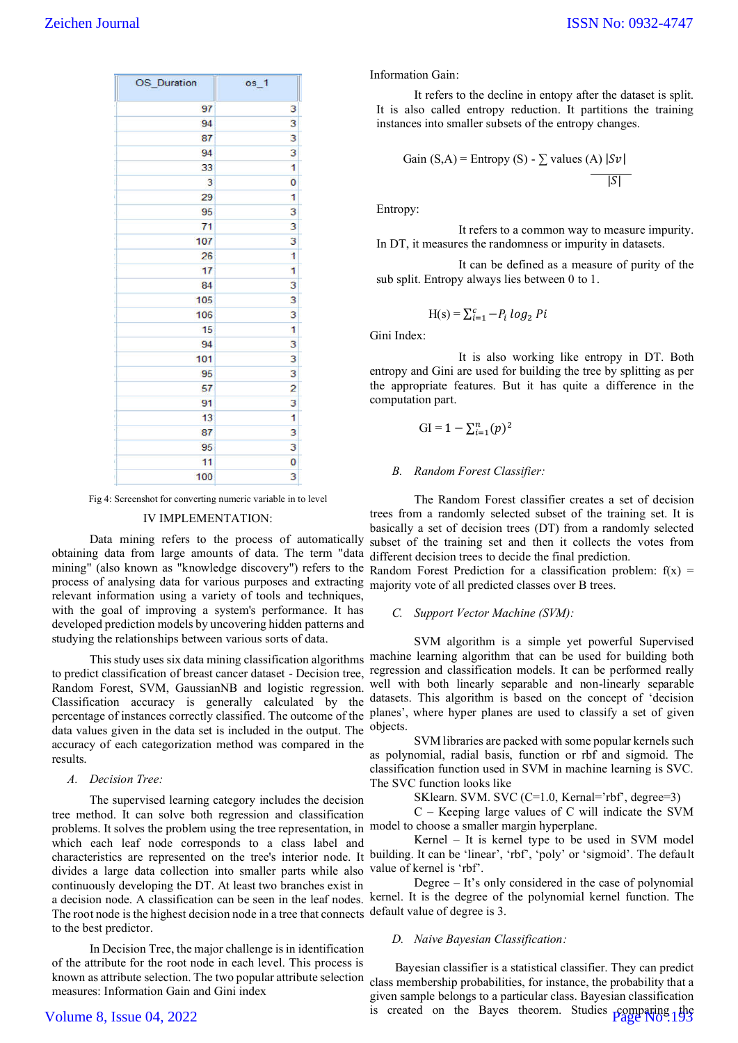| OS_Duration | $os_1$         |
|-------------|----------------|
| 97          | 3              |
| 94          | 3              |
| 87          | 3              |
| 94          | 3              |
| 33          | 1              |
| 3           | Ō              |
| 29          | 1              |
| 95          | 3              |
| 71          | 3              |
| 107         | 3              |
| 26          | 1              |
| 17          | 1              |
| 84          | 3              |
| 105         | 3              |
| 106         | 3              |
| 15          | 1              |
| 94          | 3              |
| 101         | 3              |
| 95          | 3              |
| 57          | $\overline{c}$ |
| 91          | 3              |
| 13          | 1              |
| 87          | 3              |
| 95          | 3              |
| 11          | 0              |
| 100<br>ŧ    | 3              |

Fig 4: Screenshot for converting numeric variable in to level

#### IV IMPLEMENTATION:

Data mining refers to the process of automatically obtaining data from large amounts of data. The term "data mining" (also known as "knowledge discovery") refers to the Random Forest Prediction for a classification problem: f(x) = process of analysing data for various purposes and extracting majority vote of all predicted classes over B trees. relevant information using a variety of tools and techniques, with the goal of improving a system's performance. It has developed prediction models by uncovering hidden patterns and studying the relationships between various sorts of data.

Random Forest, SVM, GaussianNB and logistic regression. Classification accuracy is generally calculated by the data values given in the data set is included in the output. The accuracy of each categorization method was compared in the results.

## *A. Decision Tree:*

The supervised learning category includes the decision tree method. It can solve both regression and classification problems. It solves the problem using the tree representation, in model to choose a smaller margin hyperplane. which each leaf node corresponds to a class label and divides a large data collection into smaller parts while also continuously developing the DT. At least two branches exist in The root node is the highest decision node in a tree that connects default value of degree is 3. to the best predictor.

In Decision Tree, the major challenge is in identification of the attribute for the root node in each level. This process is measures: Information Gain and Gini index

# Volume 8, Issue 04, 2022

Information Gain:

It refers to the decline in entopy after the dataset is split. It is also called entropy reduction. It partitions the training instances into smaller subsets of the entropy changes.

Gain (S,A) = Entropy (S) - 
$$
\sum
$$
 values (A)  $|Sv|$    
|S|

Entropy:

It refers to a common way to measure impurity. In DT, it measures the randomness or impurity in datasets.

It can be defined as a measure of purity of the sub split. Entropy always lies between 0 to 1.

$$
H(s) = \sum_{i=1}^{c} -P_i \log_2 Pi
$$

Gini Index:

It is also working like entropy in DT. Both entropy and Gini are used for building the tree by splitting as per the appropriate features. But it has quite a difference in the computation part.

$$
GI = 1 - \sum_{i=1}^n (p)^2
$$

#### *B. Random Forest Classifier:*

The Random Forest classifier creates a set of decision trees from a randomly selected subset of the training set. It is basically a set of decision trees (DT) from a randomly selected subset of the training set and then it collects the votes from different decision trees to decide the final prediction.

#### *C. Support Vector Machine (SVM):*

This study uses six data mining classification algorithms machine learning algorithm that can be used for building both to predict classification of breast cancer dataset - Decision tree, regression and classification models. It can be performed really percentage of instances correctly classified. The outcome of the planes', where hyper planes are used to classify a set of given SVM algorithm is a simple yet powerful Supervised well with both linearly separable and non-linearly separable datasets. This algorithm is based on the concept of 'decision objects.

> SVM libraries are packed with some popular kernels such as polynomial, radial basis, function or rbf and sigmoid. The classification function used in SVM in machine learning is SVC. The SVC function looks like

> > SKlearn. SVM. SVC (C=1.0, Kernal='rbf', degree=3)

C – Keeping large values of C will indicate the SVM

characteristics are represented on the tree's interior node. It building. It can be 'linear', 'rbf', 'poly' or 'sigmoid'. The default Kernel – It is kernel type to be used in SVM model value of kernel is 'rbf'.

a decision node. A classification can be seen in the leaf nodes. kernel. It is the degree of the polynomial kernel function. The Degree – It's only considered in the case of polynomial

# *D. Naive Bayesian Classification:*

known as attribute selection. The two popular attribute selection class membership probabilities, for instance, the probability that a Bayesian classifier is a statistical classifier. They can predict given sample belongs to a particular class. Bayesian classification is created on the Bayes theorem. Studies  $\frac{\text{pongging}}{\text{Page No}}$  the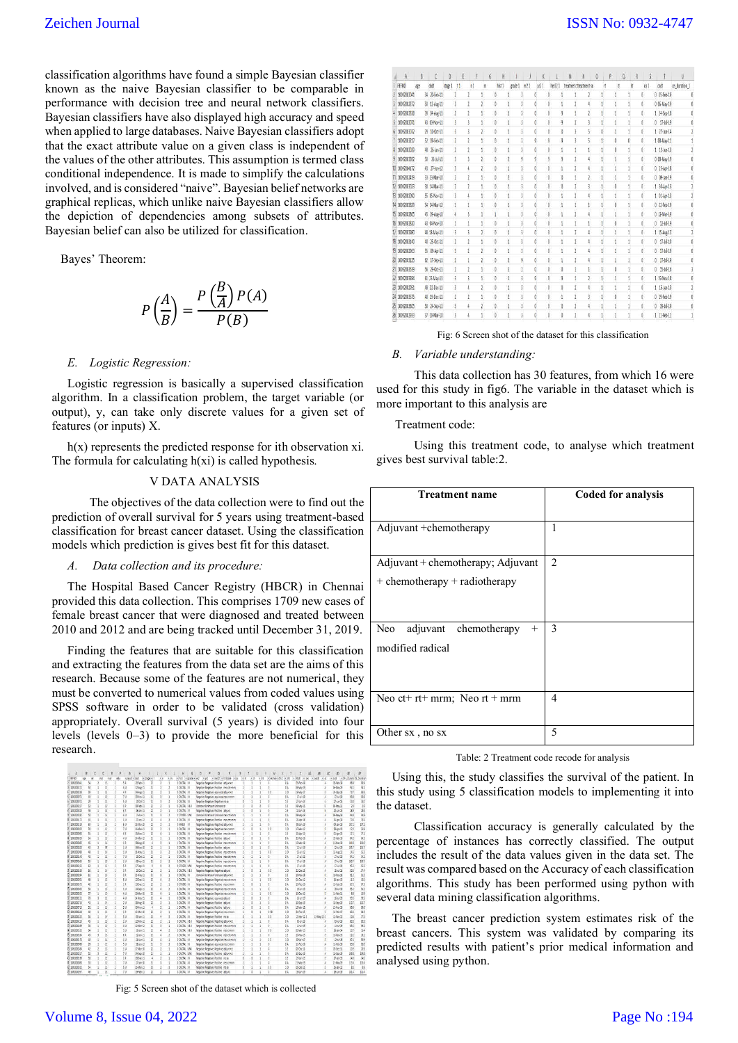classification algorithms have found a simple Bayesian classifier known as the naive Bayesian classifier to be comparable in performance with decision tree and neural network classifiers. Bayesian classifiers have also displayed high accuracy and speed when applied to large databases. Naive Bayesian classifiers adopt that the exact attribute value on a given class is independent of the values of the other attributes. This assumption is termed class conditional independence. It is made to simplify the calculations involved, and is considered "naive". Bayesian belief networks are graphical replicas, which unlike naive Bayesian classifiers allow the depiction of dependencies among subsets of attributes. Bayesian belief can also be utilized for classification.

Bayes' Theorem:

$$
P\left(\frac{A}{B}\right) = \frac{P\left(\frac{B}{A}\right)P(A)}{P(B)}
$$

## *E. Logistic Regression:*

Logistic regression is basically a supervised classification algorithm. In a classification problem, the target variable (or output), y, can take only discrete values for a given set of features (or inputs) X.

h(x) represents the predicted response for ith observation xi. The formula for calculating  $h(xi)$  is called hypothesis.

# V DATA ANALYSIS

The objectives of the data collection were to find out the prediction of overall survival for 5 years using treatment-based classification for breast cancer dataset. Using the classification models which prediction is gives best fit for this dataset.

# *A. Data collection and its procedure:*

The Hospital Based Cancer Registry (HBCR) in Chennai provided this data collection. This comprises 1709 new cases of female breast cancer that were diagnosed and treated between 2010 and 2012 and are being tracked until December 31, 2019.

Finding the features that are suitable for this classification and extracting the features from the data set are the aims of this research. Because some of the features are not numerical, they must be converted to numerical values from coded values using SPSS software in order to be validated (cross validation) appropriately. Overall survival (5 years) is divided into four levels (levels 0–3) to provide the more beneficial for this research.

|                              | 肩 |                | Ð. |                         |                          |               |                         |     |        |        |                      | Ð                                               | í. |                                             | s             |                                 | υ     | ν                    |                 | 廷                         | 迢                | ĸ | 超             | 莛                          | B             |
|------------------------------|---|----------------|----|-------------------------|--------------------------|---------------|-------------------------|-----|--------|--------|----------------------|-------------------------------------------------|----|---------------------------------------------|---------------|---------------------------------|-------|----------------------|-----------------|---------------------------|------------------|---|---------------|----------------------------|---------------|
| <b>SERIO</b>                 |   | ×              |    |                         | ranket v                 | det           | $ + $ stage $ + + $     | n/n | $\sim$ | $+341$ | $+$ grade            | ež.<br>>10                                      |    | $= 100$ $\frac{1}{2}$ $= 100$ $\frac{1}{2}$ | <b>I</b> Cott | $\left\langle e\right\rangle$ e | $+11$ | wirecrawwich 1 wich: |                 | * chat vise: * sect: * as |                  |   | lasti         | - 3Fs Duranic OS Durantion |               |
| 10000004                     |   | u              |    | 13                      | 5.2                      | 38011         | z                       |     |        |        | $1907k$ =            | Negotive Negative Positive adjusted             |    |                                             |               |                                 |       |                      | 14              | I5Feb 13                  |                  |   | 活動器           | 65.8                       | 35            |
| <b>TIRMOUT</b>               |   | 9              |    | 13                      | 4 U                      | 134.011       | x                       |     |        |        | <b>EDUTA: II</b>     | Negative Negative Positive neo chiverent        |    |                                             |               |                                 |       |                      | 11              | 064bs-19                  |                  |   | SAW-3         | 911                        | 41            |
| 108103119                    |   | ä              |    | $\mathbf{11}$           | $\mathbf{1}$             | (Akg))        | $\overline{2}$          |     |        |        | 10XTK II             | Vegetive Negetive equivacal adjunction          |    |                                             |               |                                 |       | 10                   | 10              | 26-Map 17                 |                  |   | N-Sep-28      | 227                        | M4            |
| 180037                       |   | B              |    | 任                       | 30                       | <b>Stay</b> 8 | 3                       |     |        |        | <b>SOUTH III</b>     | Neative Negative equivacy neo clients           |    |                                             |               |                                 |       |                      | 24              | 2499                      |                  |   | 174418        | 61                         | 81            |
| STRADOROTI                   |   | ×              |    | B                       | 50                       | 15-Do-11      | x                       |     |        |        | <b>I OUTA</b> III    | Septive Negetive Negotive no be                 |    |                                             |               |                                 |       |                      | SE              | Stan 14                   |                  |   | $25$ km $36$  | 111                        | 155           |
| 208200321                    |   | t)             |    | 13                      | H                        | (8-Feb-1)     | ×                       |     |        |        | <b>LOUTE IES</b>     | <b>Drámoun Linknown Drámoun cu</b>              |    |                                             |               |                                 |       |                      | 38              | <b>Gi-May 11</b>          |                  |   | 19 May 11     | 25                         | 34            |
| 10000307                     |   | 硅              |    | $\mathbb{B}$            | 38                       | Sas11         | 22                      |     |        |        | EQUITA: 31           | <b>Ancelon Negative Pecitive Adjace</b>         |    |                                             |               |                                 |       |                      | 36              | 24mB                      |                  |   | 124,6-75      | 33                         | 35            |
| 108002383                    |   | 55             |    | ü                       | 40                       | 353,623       | ×                       |     |        |        | <b>LOTHERS UNK</b>   | Ustrown Unknown Unknown neo chr-mm              |    |                                             |               |                                 |       |                      | 14              | 08-May 13                 |                  |   | 05-May 29     | SE                         | 35            |
| 1083304172                   |   | 趁              |    | 13                      | İΨ                       | 25m2          | $\overline{u}$          |     |        |        | <b>EQUITAL III</b>   | Aegative Negative Positive neo chamma           |    |                                             |               |                                 |       |                      | 54              | 3-4p-18                   |                  |   | 3 km 3        | 735                        | 715           |
| <b>STREDOUM ES</b>           |   | 33             |    | 13                      | 50                       | 2348a+10      | п                       |     |        |        | EMMED III            | Version Negative Negative adjustment            |    |                                             |               |                                 |       |                      | 84.             | 25-Jan-19                 |                  |   | 05-Jan-19     | 271                        | 171           |
| ZERYONE                      |   | u              |    | n                       | 78                       | SHEEL         | $\mathbb Z$             |     |        |        | $10076$ =            | Negative Negative Aegetive neo clymm            |    |                                             |               |                                 |       | 10                   | 10              | IFWa-12                   |                  |   | 394913        | 104                        | 35            |
| 2082203290                   |   | y,             |    | $\mathbf{11}$           | $\overline{\mathbf{1}}$  | (5-Nov 13)    | x                       |     |        |        | DOUTA, III           | Meanie Negative Positive neo chivmen            |    |                                             |               |                                 |       |                      | 18              | 21-4a-13                  |                  |   | 加April        | 21                         | D1            |
| 108302829                    |   | 強              |    | 13                      | 4 U                      | 344HZ         | z                       |     |        |        | <b>BOUTA</b> III     | Austine Negative Positive adjust:               |    |                                             |               |                                 |       |                      | 14              | 22-96-19                  |                  |   | $2.58 - 3$    | 81                         | B1            |
| 2000363                      |   | 丛              |    | $\mathbf{u}$            | 13                       | Sketi         |                         |     |        |        | 10XTK-T              | <b>Negative Negative Positive Ineo chivrom</b>  |    |                                             |               |                                 |       |                      | 64.             | 13-War-29                 |                  |   | 124km (8)     | 26                         | 1946          |
| 200320202                    |   | 4              |    | ×                       | īΰ                       | 04/60/05      | z                       |     |        |        | <b>I OUTAL III</b>   | <b>Angelie Negetie Positie adoxt</b>            |    |                                             |               |                                 |       |                      | 0.4             | 12/4/-18                  |                  |   | 12-3.6-39     | <b>25.7</b>                | 15.7          |
| 1800390                      |   | $\overline{a}$ |    | $\overline{14}$         | ïü                       | 39813         | $^{3}$                  |     |        |        | <b>LOUTA II</b>      | Needile Negative Positive Inter chimmin         |    |                                             |               |                                 |       | łΰ                   | 20              | 25/6/12                   |                  |   | <b>SA#2</b>   | 145                        | 152           |
| 2003202314                   |   | a              |    | $\overline{11}$         | $70^{1}$                 | 3-0541        | z                       |     |        |        | <b>TOUTE 9</b>       | Aspithe Negative Positive neo chiveren          |    |                                             |               |                                 |       |                      | 64              | 27-16-19                  |                  |   | 17-54-08      | 961                        | 81            |
| 10800046                     |   | 丛              |    | 13                      | 1 U                      | 0540113       | n                       |     |        |        | SOUTH II             | Aspalius Negative Positive neo columns          |    |                                             |               |                                 |       |                      | 34              | 254648                    |                  |   | 17-34-38      | 32.T                       | 1217          |
| 20 JUNIOREZ                  |   | Đ              |    | 13                      | 52                       | 1756613       |                         |     |        |        | <b>LOSSES</b> UN     | Negative Negative Positive mea chiverent        |    |                                             |               |                                 |       |                      | 5.1             | 認証                        |                  |   | 内科學           | Si                         | 图             |
| 108302358                    |   | ü              |    | u                       | 11                       | 3-0511        | z                       |     |        |        | <b>JOSTA 181</b>     | Vegetive Negetive Aegative adjusts              |    |                                             |               |                                 |       | 10                   | 10              | D-Sec-13                  |                  |   | 15-Jul-38     | 555                        | 91            |
| III8300334                   |   | ø              |    | 13                      | Ħ                        | 254860        | x                       |     |        |        | <b>SOUTH III</b>     | Unincent Uninous Unincent adjusted              |    |                                             |               |                                 |       |                      | 16              | $15/6$ $\approx$ $13$     |                  |   | 3-lov3        | 9.2                        | E1            |
| 23 JUNIORS:                  |   | и              |    | $\mathbf{B}$            | 40                       | 2306013       | $\overline{\mathbf{z}}$ |     |        |        | <b>DOUTH</b> III     | Negative Negative Negative neo chivmm.          |    |                                             |               |                                 |       | 10                   | 10              | 01-Dec-12                 |                  |   | 15 las-15     | 115                        | 130           |
| 34 SUB3003579                |   | u              |    | 15                      | 18                       | 19-Dec-11     | $\overline{2}$          |     |        |        | SOMES IN             | Vegetive Negative Positive neo cl+mm            |    |                                             |               |                                 |       | ŧ                    | 14              | 35/eb-19                  |                  |   | 19-feb-19     | E1                         | E1            |
| 25 minoritan                 |   | 9              |    | Ľ                       | īΰ                       | 245eb13       | x                       |     |        |        | <b>EQUITA: III</b>   | Appative Negative Absociae ono chiveren         |    |                                             |               |                                 |       |                      | 84              | 斯斯菲                       |                  |   | 394-39        | 51                         | 81            |
| 36 108300295                 |   | $\sigma$       |    | $\overline{15}$         | 40                       | 35484410      | x                       |     |        |        | SOUTH III            | Augustive Negative Negative neo convenire       |    |                                             |               |                                 |       | 10                   | 10              | 150ec-10                  |                  |   | 13-Feb-12     | $\mathbf{u}$               | its.          |
| T 1830815                    |   | ā              |    | 11                      | żυ                       | 1498611       | 10                      |     |        |        | <b>SOUTA</b> III     | <b>Negetive Negetive equivace adjust:</b>       |    |                                             |               |                                 |       |                      | 14.5            | 351619                    |                  | ٠ | 15-14-19      | $\mathfrak{m}$             | $\frac{1}{2}$ |
| 20092002716                  |   | 45             |    | 14                      | 210                      | 陽泉新聞          | z                       |     |        |        | SOUTH III            | <b>Negative Negative Paskive adjust:</b>        |    |                                             |               |                                 |       |                      | 6k              | 12/jeo-19                 |                  |   | 15-Sep-28     | 10.7                       | 1317          |
| 29 11 32005 TE               |   | $\mathcal{Q}$  |    | $\mathbf{H}$            | 39                       | (S&w))        |                         |     |        |        | 100T4 =              | Nestite Nestite Positive Indiana                |    |                                             |               |                                 |       |                      | $\overline{11}$ | <b>S4k-19</b>             |                  |   | 15-Mar-39     | 园长                         | 86            |
| 10 STRANDAGE                 |   | ä              |    | $\overline{\mathbf{1}}$ | ïż                       | Site/II       | z                       |     |        |        | <b>EQUITAL III</b>   | Vegetive Negetive Aegetive neo civerent         |    |                                             |               |                                 |       | 160                  | 10              | 34Feb 15                  |                  |   | $15 + 6 + 37$ | 41                         | 345           |
| 228330155                    |   | ü              |    | Is.                     | £ü                       | Di-jun D.     | ×                       |     |        |        | <b>JOUCTAL III</b>   | <b><i>Negative Negative Positive na ski</i></b> |    |                                             |               |                                 |       | 10                   | 10              | 254p-125                  | $1540\nu$ $12.9$ |   | 15-May 12     | 224                        | 135           |
| <b>ISBN 01</b>               |   | 45             |    | 13                      | 19                       | $240-2$       | z                       |     |        |        | <b>EDUTAL 181</b>    | Negative Negative Negative adjustvos            |    |                                             |               |                                 |       |                      | 14              | IS-1619                   |                  |   | $793 + 19$    | 85                         | 85            |
| 1092004368                   |   | w              |    | 13                      | 4 U                      | $1340e+13$    | n                       |     |        |        | 1000's (4)           | Aegative Negative Positive neo chiveren         |    |                                             |               |                                 |       |                      | ti.             | $25-19$                   |                  |   | 156,638       | 81                         | BT.           |
| 1093003145                   |   |                |    | 13                      | 31                       | <b>IRan11</b> | $\Omega$                |     |        |        | <b>SOUTH INS</b>     | Assume Negative Positive neo civinim            |    |                                             |               |                                 |       | ŧΰ                   | 10              | ENe B                     |                  |   | 15 Jan-14     | 211                        | 批             |
| 1083203164                   |   | 43             |    | is                      | £â                       | SAM 13        | š                       |     |        |        | <b>EDICTA</b> III    | Negative Negative Positive neo convenes         |    |                                             |               |                                 |       |                      | 18              | $3346 + 13$               |                  |   | 154b+15       | 781                        | 31            |
| 36 108200117                 |   | ä              |    | 14                      | 19                       | 25mlf         | ×                       |     |        |        | $1007$ $\approx$ $-$ |                                                 |    |                                             |               |                                 |       | 10                   | 38              | EHan-17                   |                  |   | 133638        | 04                         | 84            |
|                              |   |                |    |                         |                          |               |                         |     |        |        |                      | Aspitive Negative Aegative neo che-mms          |    |                                             |               |                                 |       |                      |                 |                           |                  |   |               |                            |               |
| 10092203999<br>38 1081002584 |   | ă<br>ø         |    | $\mathbf{B}$            | 50                       | 35,657        | Ð                       |     |        |        | <b>DOUTA</b> III     | <b>Megative Negative equivacy neo civering</b>  |    |                                             |               |                                 |       |                      | 14              | <b>ISF#619</b>            |                  |   | 13 Feb 活      | 岩                          | 36<br>25      |
| 39-108202517                 |   | $\circ$        |    | 15<br>$\mathbf{11}$     | 10<br>5 <sub>0</sub>     | SHH-U         | z<br>y                  |     |        |        | <b>EDUTAL-UM</b>     | Version Negative Nedative adjusted:             |    |                                             |               |                                 |       |                      | 16              | (5-3ec-1)                 |                  |   | S-Debiti      | 215<br>391                 | 134           |
|                              |   |                |    |                         |                          | (Afgeld)      |                         |     |        |        | 10XTX UM             | legative Negative Positive adjusted             |    |                                             |               |                                 |       |                      | 24              | 186019                    |                  |   | $2-2+3$       |                            |               |
| 43 1103301119                |   | s              |    | 13                      | ïz                       | Object3       | í.                      |     |        |        | 10XTK III            | <b>Assette Negative Positive ing ca.</b>        |    |                                             |               |                                 |       |                      | 15              | $27$ and $13$             |                  |   | 25年間          | <b>JAS</b>                 | 340           |
| 10830388                     |   | 9              |    | 13                      | 18                       | D-avil        | ×                       |     |        |        | EDUTA: III           | Nepstive Nepstive Positive neo climm            |    |                                             |               |                                 |       |                      | 14              | 75-May 19                 |                  |   | 21-May 29     | 154                        | 115.4         |
| <b>42 STERSOONS</b>          |   | ü              |    | 11                      | 12                       | 254br13       | x                       |     |        |        | <b>SOUTH</b>         | Negetive Negetive Positive Ing ca.              |    |                                             |               |                                 |       | 80                   | 10              | S-Sec-11                  |                  |   | 15-ter-12     | 35                         | 14            |
| 43 Immonate:                 |   | u              |    | n                       | $\overline{\mathcal{I}}$ | 19-Feb-13     | ž                       |     |        |        | SOUTH, III           | <b>Negative Negative Positive adjust:</b>       |    |                                             |               |                                 |       |                      | 14              | 35 (a) 13                 |                  | ٠ | 13 Am 28      | 22.4                       | 12.4          |

Fig: 5 Screen shot of the dataset which is collected

| A              |    | ť            | D     |              |              | G | H      |         |     |     |   |        | M                      | N | $\theta$ | ρ | Q | Ř |     |                  |               |
|----------------|----|--------------|-------|--------------|--------------|---|--------|---------|-----|-----|---|--------|------------------------|---|----------|---|---|---|-----|------------------|---------------|
| REFNO          | ät | date         | sup 1 | $\mathbf{u}$ | $\mathbf{N}$ | n | list 1 | grade 1 | e21 | y21 |   | her221 | treatmet chreatment su |   | 'n       |   | d | h | 0s1 | osit             | os duration 1 |
| 10092003041    |    | 34 20-Feb-11 |       |              |              |   | ō      |         |     |     |   |        |                        |   |          |   |   |   | Õ.  | 0 05-Feb-19      |               |
| 10092003272    |    | 50 12-Aug-11 |       | 3            |              |   | ô.     |         |     | ŏ   | ô |        |                        |   |          |   |   |   |     | 0 06-May-19      |               |
| 10092003338    |    | 39 04-Aug-11 |       |              |              |   | ô      |         |     |     |   |        |                        |   |          |   |   |   | 0   | 1 24-Sep-18      |               |
| 10092003071    |    | 43 03-Nov-11 |       | J.           |              |   | ö      |         | 1   | Ō   | ö |        | g                      |   |          |   |   |   | O   | $0$ 17-14-19     |               |
| 10092003072    |    | 29 10-Oct-11 |       | J            |              |   | Ő      |         |     | Ō   |   | ¢      |                        |   | Ó        |   |   |   | Ů.  | $1.27$ -Jun-14   |               |
| 10092083217    |    | 52 09-Feb 11 |       | ı            |              |   | ø      |         | Ï   | g.  | g |        | g                      |   |          | ō |   | 0 | ß   | 1 08-May-11      |               |
| 10092003029    |    | 48 26-Jan-11 |       | 2            |              |   | ô      |         |     | 0   |   |        |                        |   |          |   |   |   |     | $1 12 - 11 - 13$ |               |
| 10092003282    |    | 50 26-06-11  |       |              |              |   |        |         |     |     |   |        |                        |   |          |   |   |   |     | 0.08-May-19      |               |
| 10092004172    |    | 43 27-Jun-12 |       | 1            |              |   | ō      |         |     | ō   |   |        |                        |   |          |   |   |   |     | 0 25-Apr-18      |               |
| 11 10092002419 |    | 33 23-Mar-10 |       |              |              |   | ô      |         |     |     |   |        |                        |   |          |   |   |   |     | $0.09-12n-19$    |               |
| 10092003023    |    | 30 14 Mar-11 |       | 1            |              |   | ô      |         |     |     |   | ō      |                        |   |          |   |   |   | ō   | 1 10-Apr-13      |               |
| 13 10092003090 |    | 55 05-Nov-11 |       | ł            |              |   | ő      |         |     |     |   |        |                        |   |          |   |   |   |     | $101-4a-13$      |               |
| 14 10092003829 |    | 54 24 Mar-12 |       |              |              |   |        |         |     |     |   |        |                        |   |          |   |   |   |     | 0 22-Feb-19      |               |
| 15 1009202865  |    | 45 09-Aug-10 |       |              |              |   |        |         |     |     |   |        |                        |   |          |   |   |   |     | 0 12-Mar-19      |               |
| 16 10092002820 |    | 43 04-Nov-10 |       |              |              |   | ô      |         |     |     |   |        |                        |   |          |   |   |   |     | $0.12 - 10 - 19$ |               |
| 17 10092002980 |    | 48 18-May-11 |       | 3            |              |   | õ      |         |     | ō   |   |        |                        |   |          |   |   |   |     | 1 15-Aug-12      |               |
| 18 10092003140 |    | 40 25-Oct-11 |       | ž            |              |   | ô      |         |     | ò   |   |        |                        |   |          |   |   |   | 0   | 0 17-16-19       |               |
| 19 10092002963 |    | 55 09-Apr-11 |       | 3            |              |   | 0      |         |     | ō   |   |        |                        |   |          |   |   |   | õ   | $17 - 19$<br>O.  |               |
| 20 10092003125 |    | 62 17-Sep-11 |       | 1            |              |   | ô      |         | ğ   | Ő   |   |        |                        |   |          |   |   |   | 0   | 0 17-14-19       |               |
| 21 10092003539 |    | 56 29-Oct-11 |       | 1            |              |   | ő      |         |     | Ő   |   |        |                        |   |          |   |   |   | Ø.  | $0.15 - 16 - 16$ |               |
| 22 10092003284 |    | 61 23-May-11 |       | 3            |              |   | 0      |         |     |     |   | Ģ      |                        |   |          |   |   |   |     | 1 19-Nov-18      |               |
| 23 10092002951 |    | 48 22-Dec-11 |       |              |              |   | ô      |         |     |     |   |        |                        |   |          |   |   |   |     | $1 15-1an-13$    |               |
| 24 10092003575 |    | 40 19-Dec-11 |       | 2            |              |   | ô      |         |     |     |   |        |                        |   |          |   |   |   |     | 0 19 Feb 19      |               |
| 25 10092003305 |    | 50 24-Sep-11 |       |              |              |   | ô      |         |     |     |   |        |                        |   |          |   |   |   |     | $0.19 - 10 - 19$ |               |
| 26 10092002933 |    | 37 26-Mar-10 |       |              |              |   | 0      |         |     |     |   | ō      |                        |   |          |   |   |   | ö   | $111-feb11$      |               |
|                |    |              |       |              |              |   |        |         |     |     |   |        |                        |   |          |   |   |   |     |                  |               |

Fig: 6 Screen shot of the dataset for this classification

# *B. Variable understanding:*

This data collection has 30 features, from which 16 were used for this study in fig6. The variable in the dataset which is more important to this analysis are

#### Treatment code:

Using this treatment code, to analyse which treatment gives best survival table:2.

| <b>Treatment name</b>                                                  | <b>Coded for analysis</b> |
|------------------------------------------------------------------------|---------------------------|
| Adjuvant + chemotherapy                                                | 1                         |
| Adjuvant + chemotherapy; Adjuvant<br>$+$ chemotherapy $+$ radiotherapy | $\overline{2}$            |
| adjuvant chemotherapy<br>Neo<br>$^{+}$<br>modified radical             | 3                         |
| Neo ct+ rt+ mrm; Neo rt + mrm                                          | 4                         |
| Other sx, no sx                                                        | 5                         |

#### Table: 2 Treatment code recode for analysis

Using this, the study classifies the survival of the patient. In this study using 5 classification models to implementing it into the dataset.

Classification accuracy is generally calculated by the percentage of instances has correctly classified. The output includes the result of the data values given in the data set. The result was compared based on the Accuracy of each classification algorithms. This study has been performed using python with several data mining classification algorithms.

The breast cancer prediction system estimates risk of the breast cancers. This system was validated by comparing its predicted results with patient's prior medical information and analysed using python.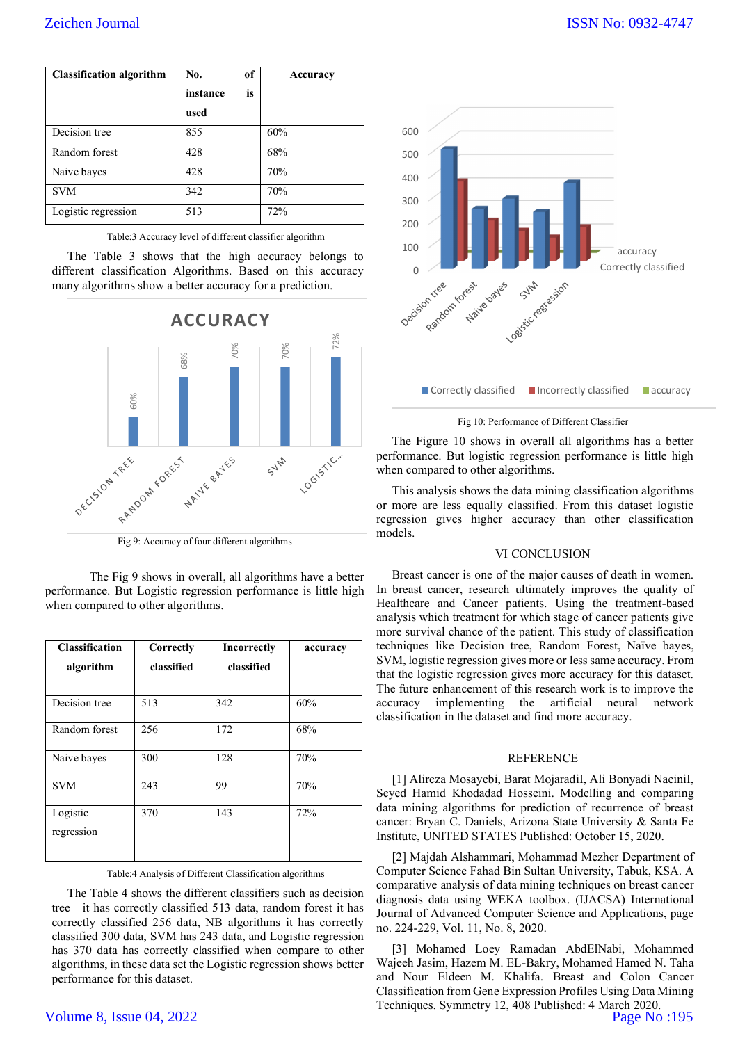| <b>Classification algorithm</b> | No.      | of | Accuracy |
|---------------------------------|----------|----|----------|
|                                 | instance | is |          |
|                                 | used     |    |          |
| Decision tree                   | 855      |    | 60%      |
| Random forest                   | 428      |    | 68%      |
| Naive bayes                     | 428      |    | 70%      |
| <b>SVM</b>                      | 342      |    | 70%      |
| Logistic regression             | 513      |    | 72%      |

Table:3 Accuracy level of different classifier algorithm

The Table 3 shows that the high accuracy belongs to different classification Algorithms. Based on this accuracy many algorithms show a better accuracy for a prediction.



Fig 9: Accuracy of four different algorithms

The Fig 9 shows in overall, all algorithms have a better performance. But Logistic regression performance is little high when compared to other algorithms.

| <b>Classification</b><br>algorithm | Correctly<br>classified | <b>Incorrectly</b><br>classified | accuracy |  |  |  |  |  |
|------------------------------------|-------------------------|----------------------------------|----------|--|--|--|--|--|
|                                    |                         |                                  |          |  |  |  |  |  |
| Decision tree                      | 513                     | 342                              | 60%      |  |  |  |  |  |
| Random forest                      | 256                     | 172                              | 68%      |  |  |  |  |  |
| Naive bayes                        | 300                     | 128                              | 70%      |  |  |  |  |  |
| <b>SVM</b>                         | 243                     | 99                               | 70%      |  |  |  |  |  |
| Logistic                           | 370                     | 143                              | 72%      |  |  |  |  |  |
| regression                         |                         |                                  |          |  |  |  |  |  |

Table:4 Analysis of Different Classification algorithms

The Table 4 shows the different classifiers such as decision tree it has correctly classified 513 data, random forest it has correctly classified 256 data, NB algorithms it has correctly classified 300 data, SVM has 243 data, and Logistic regression has 370 data has correctly classified when compare to other algorithms, in these data set the Logistic regression shows better performance for this dataset.

# Volume 8, Issue 04, 2022



Fig 10: Performance of Different Classifier

The Figure 10 shows in overall all algorithms has a better performance. But logistic regression performance is little high when compared to other algorithms.

This analysis shows the data mining classification algorithms or more are less equally classified. From this dataset logistic regression gives higher accuracy than other classification models.

# VI CONCLUSION

Breast cancer is one of the major causes of death in women. In breast cancer, research ultimately improves the quality of Healthcare and Cancer patients. Using the treatment-based analysis which treatment for which stage of cancer patients give more survival chance of the patient. This study of classification techniques like Decision tree, Random Forest, Naïve bayes, SVM, logistic regression gives more or less same accuracy. From that the logistic regression gives more accuracy for this dataset. The future enhancement of this research work is to improve the accuracy implementing the artificial neural network classification in the dataset and find more accuracy.

## **REFERENCE**

[1] Alireza Mosayebi, Barat MojaradiI, Ali Bonyadi NaeiniI, Seyed Hamid Khodadad Hosseini. Modelling and comparing data mining algorithms for prediction of recurrence of breast cancer: Bryan C. Daniels, Arizona State University & Santa Fe Institute, UNITED STATES Published: October 15, 2020.

[2] Majdah Alshammari, Mohammad Mezher Department of Computer Science Fahad Bin Sultan University, Tabuk, KSA. A comparative analysis of data mining techniques on breast cancer diagnosis data using WEKA toolbox. (IJACSA) International Journal of Advanced Computer Science and Applications, page no. 224-229, Vol. 11, No. 8, 2020.

[3] Mohamed Loey Ramadan AbdElNabi, Mohammed Wajeeh Jasim, Hazem M. EL-Bakry, Mohamed Hamed N. Taha and Nour Eldeen M. Khalifa. Breast and Colon Cancer Classification from Gene Expression Profiles Using Data Mining Techniques. Symmetry 12, 408 Published: 4 March 2020. Page No :195